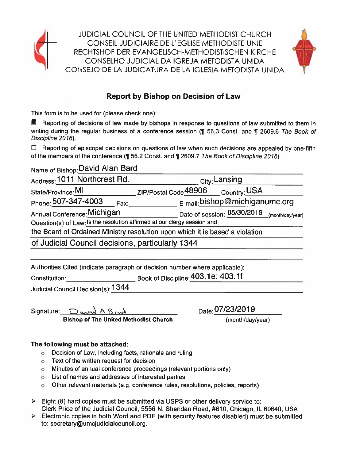

**JUDICIAL COUNCIL OF THE UNITED METHODIST CHURCH** CONSEIL JUDICIAIRE DE L'EGLISE METHODISTE UNIE RECHTSHOF DER EVANGELISCH-METHODISTISCHEN KIRCHE CONSELHO JUDICIAL DA IGREJA METODISTA UNIDA CONSEJO DE LA JUDICATURA DE LA IGLESIA METODISTA UNIDA



## **Report by Bishop on Decision of Law**

This form is to be used for (please check one):

■ Reporting of decisions of law made by bishops in response to questions of law submitted to them in writing during the regular business of a conference session (¶ 56.3 Const. and ¶ 2609.6 The Book of Discipline 2016).

 $\Box$  Reporting of episcopal decisions on questions of law when such decisions are appealed by one-fifth of the members of the conference (¶ 56.2 Const. and ¶ 2609.7 The Book of Discipline 2016).

Name of Bishop: David Alan Bard

| Address: 1011 Northcrest Rd.                                             | <sub>City:</sub> Lansing                                                     |
|--------------------------------------------------------------------------|------------------------------------------------------------------------------|
| State/Province: MI                                                       | ZIP/Postal Code <sup>48906</sup><br>Country: USA                             |
| Phone: 507-347-4003<br>Fax:                                              | E-mail: bishop@michiganumc.org                                               |
| Annual Conference: Michigan                                              | Date of session: 05/30/2019<br>(month/day/year)                              |
| Question(s) of Law: Is the resolution affirmed at our clergy session and |                                                                              |
|                                                                          | the Board of Ordained Ministry resolution upon which it is based a violation |
| of Judicial Council decisions, particularly 1344                         |                                                                              |

Authorities Cited (indicate paragraph or decision number where applicable):

Book of Discipline: 403.1e; 403.1f Constitution:

Judicial Council Decision(s): 1344

Signature: **Bishop of The United Methodist Church**  Date: 07/23/2019

(month/day/year)

### The following must be attached:

- o Decision of Law, including facts, rationale and ruling
- o Text of the written request for decision
- o Minutes of annual conference proceedings (relevant portions only)
- o List of names and addresses of interested parties
- o Other relevant materials (e.g. conference rules, resolutions, policies, reports)
- $\triangleright$  Eight (8) hard copies must be submitted via USPS or other delivery service to: Clerk Price of the Judicial Council, 5556 N. Sheridan Road, #610, Chicago, IL 60640, USA
- $\triangleright$  Electronic copies in both Word and PDF (with security features disabled) must be submitted to: secretary@umcjudicialcouncil.org.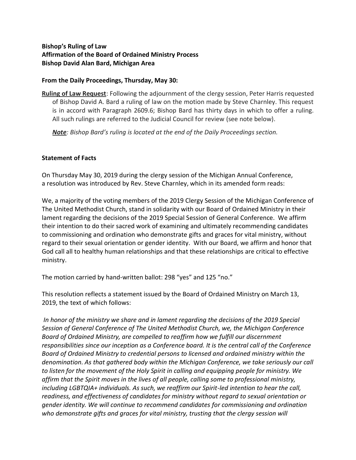#### **Bishop's Ruling of Law Affirmation of the Board of Ordained Ministry Process Bishop David Alan Bard, Michigan Area**

#### **From the Daily Proceedings, Thursday, May 30:**

**Ruling of Law Request**: Following the adjournment of the clergy session, Peter Harris requested of Bishop David A. Bard a ruling of law on the motion made by Steve Charnley. This request is in accord with Paragraph 2609.6; Bishop Bard has thirty days in which to offer a ruling. All such rulings are referred to the Judicial Council for review (see note below).

*Note: Bishop Bard's ruling is located at the end of the Daily Proceedings section.*

#### **Statement of Facts**

On Thursday May 30, 2019 during the clergy session of the Michigan Annual Conference, a resolution was introduced by Rev. Steve Charnley, which in its amended form reads:

We, a majority of the voting members of the 2019 Clergy Session of the Michigan Conference of The United Methodist Church, stand in solidarity with our Board of Ordained Ministry in their lament regarding the decisions of the 2019 Special Session of General Conference. We affirm their intention to do their sacred work of examining and ultimately recommending candidates to commissioning and ordination who demonstrate gifts and graces for vital ministry, without regard to their sexual orientation or gender identity. With our Board, we affirm and honor that God call all to healthy human relationships and that these relationships are critical to effective ministry.

The motion carried by hand-written ballot: 298 "yes" and 125 "no."

This resolution reflects a statement issued by the Board of Ordained Ministry on March 13, 2019, the text of which follows:

*In honor of the ministry we share and in lament regarding the decisions of the 2019 Special Session of General Conference of The United Methodist Church, we, the Michigan Conference Board of Ordained Ministry, are compelled to reaffirm how we fulfill our discernment responsibilities since our inception as a Conference board. It is the central call of the Conference Board of Ordained Ministry to credential persons to licensed and ordained ministry within the denomination. As that gathered body within the Michigan Conference, we take seriously our call to listen for the movement of the Holy Spirit in calling and equipping people for ministry. We affirm that the Spirit moves in the lives of all people, calling some to professional ministry, including LGBTQIA+ individuals. As such, we reaffirm our Spirit-led intention to hear the call, readiness, and effectiveness of candidates for ministry without regard to sexual orientation or gender identity. We will continue to recommend candidates for commissioning and ordination who demonstrate gifts and graces for vital ministry, trusting that the clergy session will*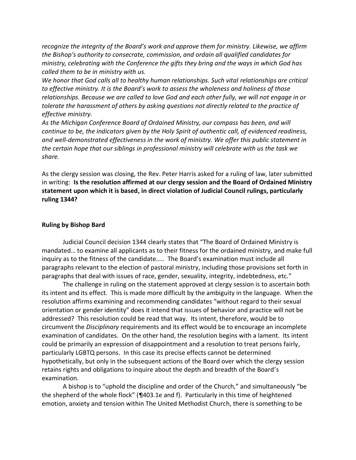*recognize the integrity of the Board's work and approve them for ministry. Likewise, we affirm the Bishop's authority to consecrate, commission, and ordain all qualified candidates for ministry, celebrating with the Conference the gifts they bring and the ways in which God has called them to be in ministry with us.* 

*We honor that God calls all to healthy human relationships. Such vital relationships are critical to effective ministry. It is the Board's work to assess the wholeness and holiness of those relationships. Because we are called to love God and each other fully, we will not engage in or tolerate the harassment of others by asking questions not directly related to the practice of effective ministry.* 

*As the Michigan Conference Board of Ordained Ministry, our compass has been, and will continue to be, the indicators given by the Holy Spirit of authentic call, of evidenced readiness, and well-demonstrated effectiveness in the work of ministry. We offer this public statement in the certain hope that our siblings in professional ministry will celebrate with us the task we share.*

As the clergy session was closing, the Rev. Peter Harris asked for a ruling of law, later submitted in writing: **Is the resolution affirmed at our clergy session and the Board of Ordained Ministry statement upon which it is based, in direct violation of Judicial Council rulings, particularly ruling 1344?**

#### **Ruling by Bishop Bard**

Judicial Council decision 1344 clearly states that "The Board of Ordained Ministry is mandated… to examine all applicants as to their fitness for the ordained ministry, and make full inquiry as to the fitness of the candidate….. The Board's examination must include all paragraphs relevant to the election of pastoral ministry, including those provisions set forth in paragraphs that deal with issues of race, gender, sexuality, integrity, indebtedness, etc."

The challenge in ruling on the statement approved at clergy session is to ascertain both its intent and its effect. This is made more difficult by the ambiguity in the language. When the resolution affirms examining and recommending candidates "without regard to their sexual orientation or gender identity" does it intend that issues of behavior and practice will not be addressed? This resolution could be read that way. Its intent, therefore, would be to circumvent the *Disciplinary* requirements and its effect would be to encourage an incomplete examination of candidates. On the other hand, the resolution begins with a lament. Its intent could be primarily an expression of disappointment and a resolution to treat persons fairly, particularly LGBTQ persons. In this case its precise effects cannot be determined hypothetically, but only in the subsequent actions of the Board over which the clergy session retains rights and obligations to inquire about the depth and breadth of the Board's examination.

A bishop is to "uphold the discipline and order of the Church," and simultaneously "be the shepherd of the whole flock" (¶403.1e and f). Particularly in this time of heightened emotion, anxiety and tension within The United Methodist Church, there is something to be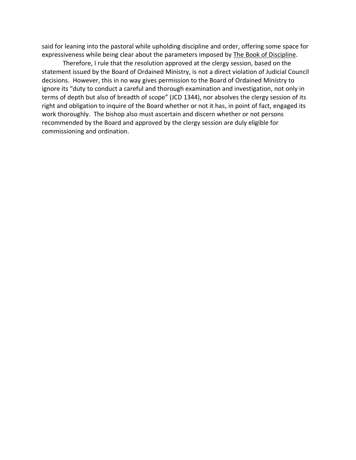said for leaning into the pastoral while upholding discipline and order, offering some space for expressiveness while being clear about the parameters imposed by The Book of Discipline.

Therefore, I rule that the resolution approved at the clergy session, based on the statement issued by the Board of Ordained Ministry, is not a direct violation of Judicial Council decisions. However, this in no way gives permission to the Board of Ordained Ministry to ignore its "duty to conduct a careful and thorough examination and investigation, not only in terms of depth but also of breadth of scope" (JCD 1344), nor absolves the clergy session of its right and obligation to inquire of the Board whether or not it has, in point of fact, engaged its work thoroughly. The bishop also must ascertain and discern whether or not persons recommended by the Board and approved by the clergy session are duly eligible for commissioning and ordination.